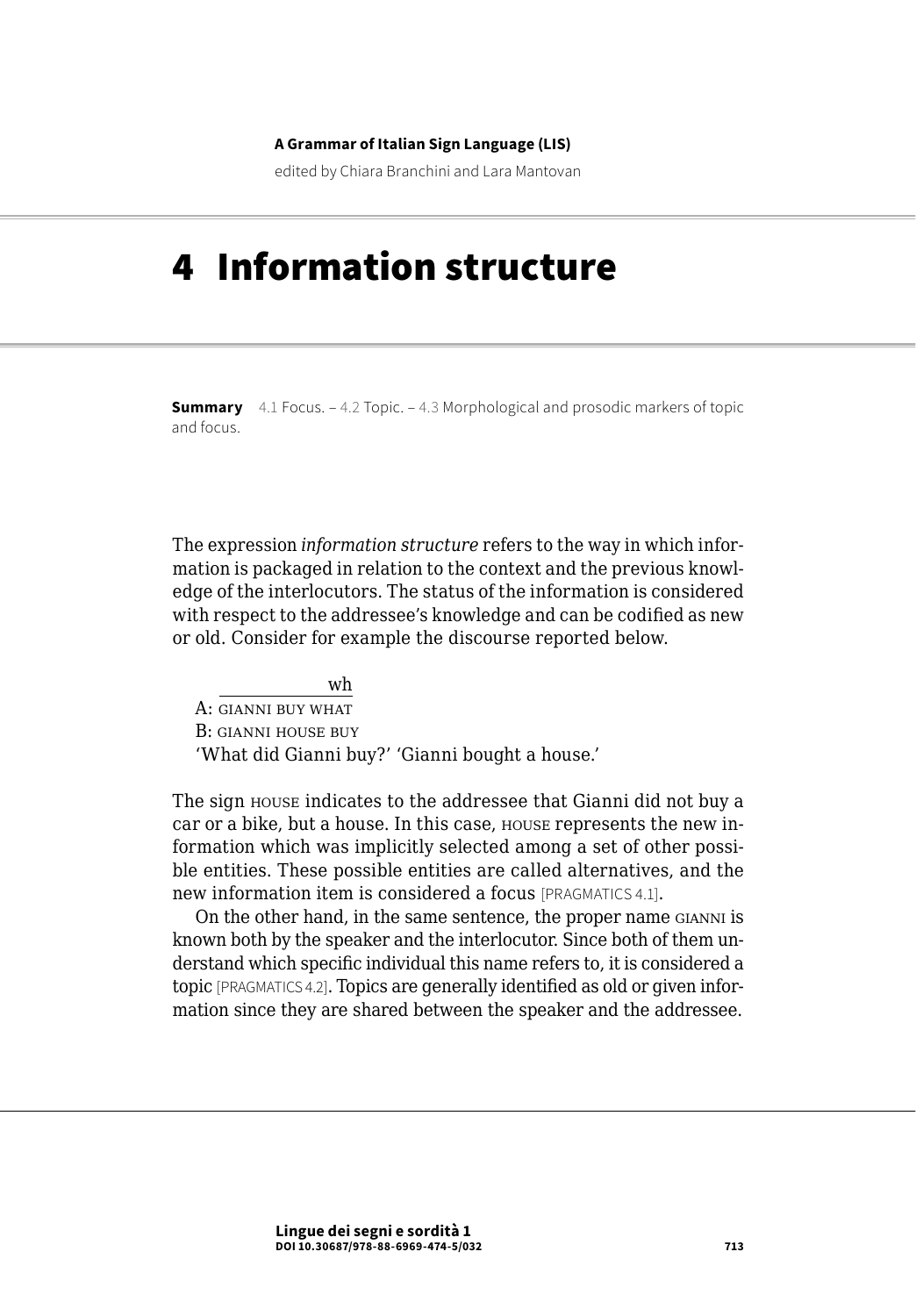#### **A Grammar of Italian Sign Language (LIS)**

edited by Chiara Branchini and Lara Mantovan

# 4 Information structure

**Summary** [4.1 Focus](#page-1-0). – [4.2 Topic](#page-5-0). – 4.3 Morphological and prosodic markers of topic [and focus](#page-8-0).

The expression *information structure* refers to the way in which information is packaged in relation to the context and the previous knowledge of the interlocutors. The status of the information is considered with respect to the addressee's knowledge and can be codified as new or old. Consider for example the discourse reported below.

wh A: gianni buy what B: gianni house buy 'What did Gianni buy?' 'Gianni bought a house.'

The sign house indicates to the addressee that Gianni did not buy a car or a bike, but a house. In this case, house represents the new information which was implicitly selected among a set of other possible entities. These possible entities are called alternatives, and the new information item is considered a focus [PRAGMATICS 4.1].

On the other hand, in the same sentence, the proper name gianni is known both by the speaker and the interlocutor. Since both of them understand which specific individual this name refers to, it is considered a topic [PRAGMATICS 4.2]. Topics are generally identified as old or given information since they are shared between the speaker and the addressee.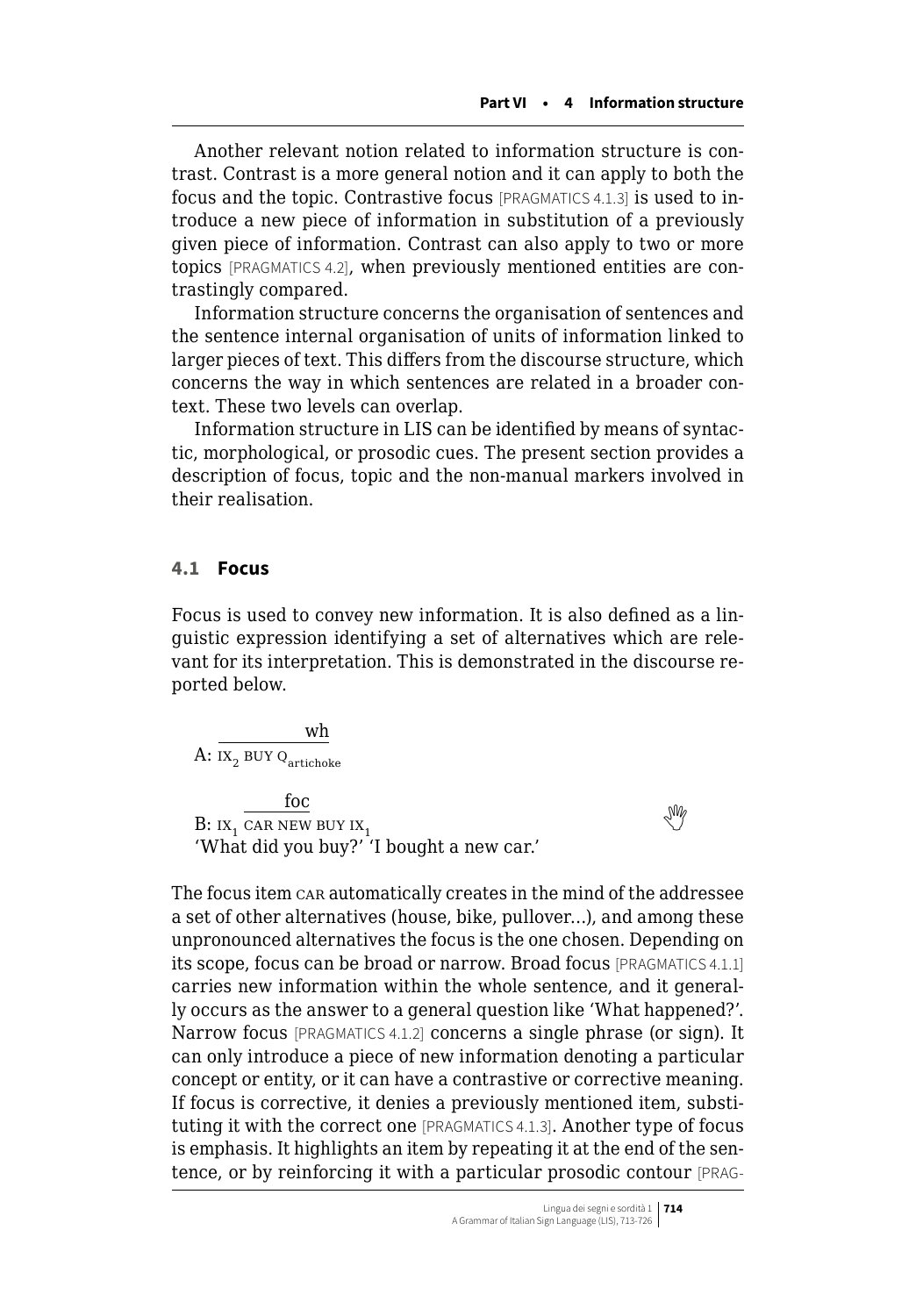<span id="page-1-0"></span>Another relevant notion related to information structure is contrast. Contrast is a more general notion and it can apply to both the focus and the topic. Contrastive focus [PRAGMATICS 4.1.3] is used to introduce a new piece of information in substitution of a previously given piece of information. Contrast can also apply to two or more topics [PRAGMATICS 4.2], when previously mentioned entities are contrastingly compared.

Information structure concerns the organisation of sentences and the sentence internal organisation of units of information linked to larger pieces of text. This differs from the discourse structure, which concerns the way in which sentences are related in a broader context. These two levels can overlap.

Information structure in LIS can be identified by means of syntactic, morphological, or prosodic cues. The present section provides a description of focus, topic and the non-manual markers involved in their realisation.

### **4.1 Focus**

Focus is used to convey new information. It is also defined as a linguistic expression identifying a set of alternatives which are relevant for its interpretation. This is demonstrated in the discourse reported below.

wh  $\textrm{A:}\ \scriptscriptstyle{\text{IX}_2}$  BUY  $\scriptstyle{\text{Q}}$ <sub>artichoke</sub>

foc  $B: I X_1$  $B: I X_1$  $B: I X_1$  car new buy  $I X_1$ 'What did you buy?' 'I bought a new car.'

The focus item car automatically creates in the mind of the addressee a set of other alternatives (house, bike, pullover…), and among these unpronounced alternatives the focus is the one chosen. Depending on its scope, focus can be broad or narrow. Broad focus [PRAGMATICS 4.1.1] carries new information within the whole sentence, and it generally occurs as the answer to a general question like 'What happened?'. Narrow focus [PRAGMATICS 4.1.2] concerns a single phrase (or sign). It can only introduce a piece of new information denoting a particular concept or entity, or it can have a contrastive or corrective meaning. If focus is corrective, it denies a previously mentioned item, substituting it with the correct one [PRAGMATICS 4.1.3]. Another type of focus is emphasis. It highlights an item by repeating it at the end of the sentence, or by reinforcing it with a particular prosodic contour [PRAG-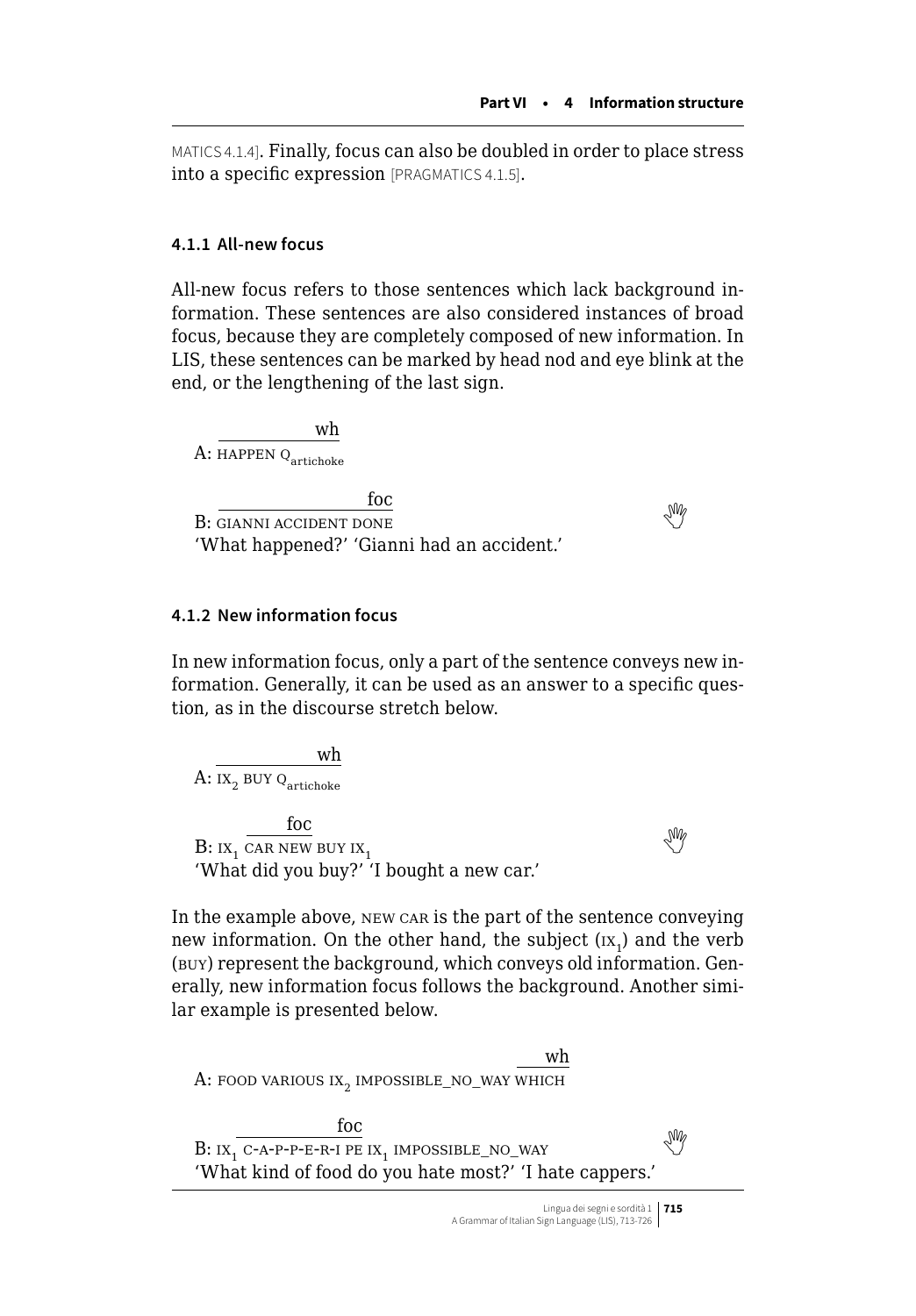MATICS 4.1.4]. Finally, focus can also be doubled in order to place stress into a specific expression [PRAGMATICS 4.1.5].

## **4.1.1 All-new focus**

All-new focus refers to those sentences which lack background information. These sentences are also considered instances of broad focus, because they are completely composed of new information. In LIS, these sentences can be marked by head nod and eye blink at the end, or the lengthening of the last sign.

wh  $A$ : HAPPEN  $Q_{\text{artichoka}}$ 

foc  $B:$  $\overline{\text{GIANNI}\text{ ACCIDENT}\text{ DONE}}$ 'What happened?' 'Gianni had an accident.'

## **4.1.2 New information focus**

In new information focus, only a part of the sentence conveys new information. Generally, it can be used as an answer to a specific question, as in the discourse stretch below.

wh A:  $IX_2$  BUY Q<sub>artichoke</sub>

foc  $B: I X_1$  $B: I X_1$  $B: I X_1$  car new buy  $I X_1$ 'What did you buy?' 'I bought a new car.'

In the example above, new car is the part of the sentence conveying new information. On the other hand, the subject  $(\text{ix}_1)$  and the verb (buy) represent the background, which conveys old information. Generally, new information focus follows the background. Another similar example is presented below.

wh A: FOOD VARIOUS  $IX_2$  IMPOSSIBLE\_NO\_WAY WHICH foc  $B: IX_1$  $B: IX_1$  $B: IX_1$  c-a-p-p-e-r-i pe  $IX_1$  impossible\_no\_way 'What kind of food do you hate most?' 'I hate cappers.'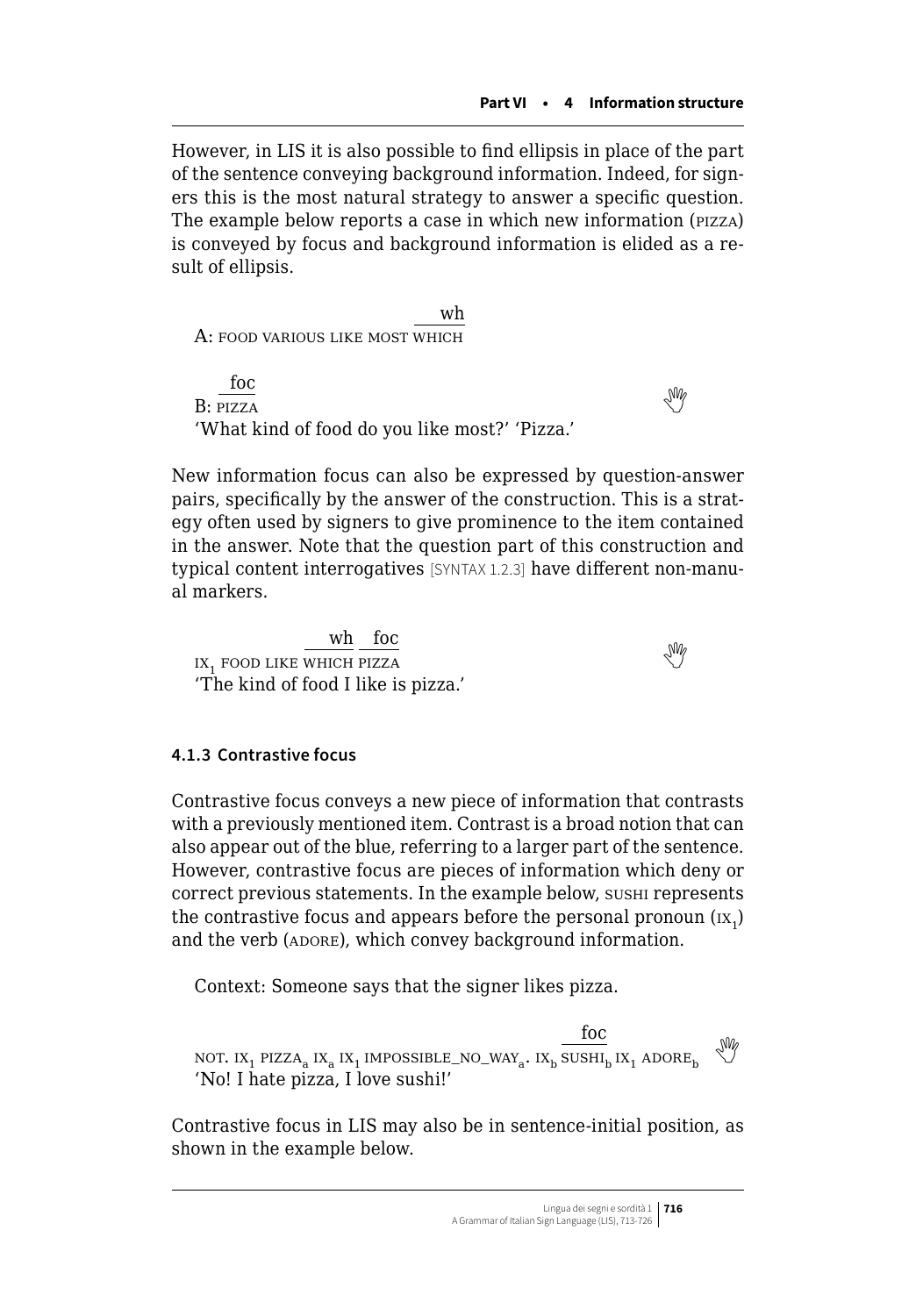However, in LIS it is also possible to find ellipsis in place of the part of the sentence conveying background information. Indeed, for signers this is the most natural strategy to answer a specific question. The example below reports a case in which new information (pizza) is conveyed by focus and background information is elided as a result of ellipsis.

wh A: food various like most which

foc  $B: PIZZA$  $B: PIZZA$  $B: PIZZA$ 'What kind of food do you like most?' 'Pizza.'

New information focus can also be expressed by question-answer pairs, specifically by the answer of the construction. This is a strategy often used by signers to give prominence to the item contained in the answer. Note that the question part of this construction and typical content interrogatives [SYNTAX 1.2.3] have different non-manual markers.

 $\frac{w h}{\cos \theta}$  $\frac{1}{1}$ food like which pizza 'The kind of food I like is pizza.'

## **4.1.3 Contrastive focus**

Contrastive focus conveys a new piece of information that contrasts with a previously mentioned item. Contrast is a broad notion that can also appear out of the blue, referring to a larger part of the sentence. However, contrastive focus are pieces of information which deny or correct previous statements. In the example below, sushi represents the contrastive focus and appears before the personal pronoun  $\text{(rx)}_{\text{1}}$ and the verb (ADORE), which convey background information.

Context: Someone says that the signer likes pizza.

 $\begin{matrix} \text{foc} \\\text{NOT. } \text{IX}_1 \text{ PIZZA}_\text{a} \text{ IX}_1 \text{ IMPOSSIBLE\_NO\_WAY}_\text{a} \text{ . } \text{IX}_\text{b} \text{ SSHI}_\text{b} \text{ IX}_1 \text{ ADORE}_\text{b} \end{matrix} \overset{\text{M0}}{\leadsto}$ 'No! I hate pizza, I love sushi!'

Contrastive focus in LIS may also be in sentence-initial position, as shown in the example below.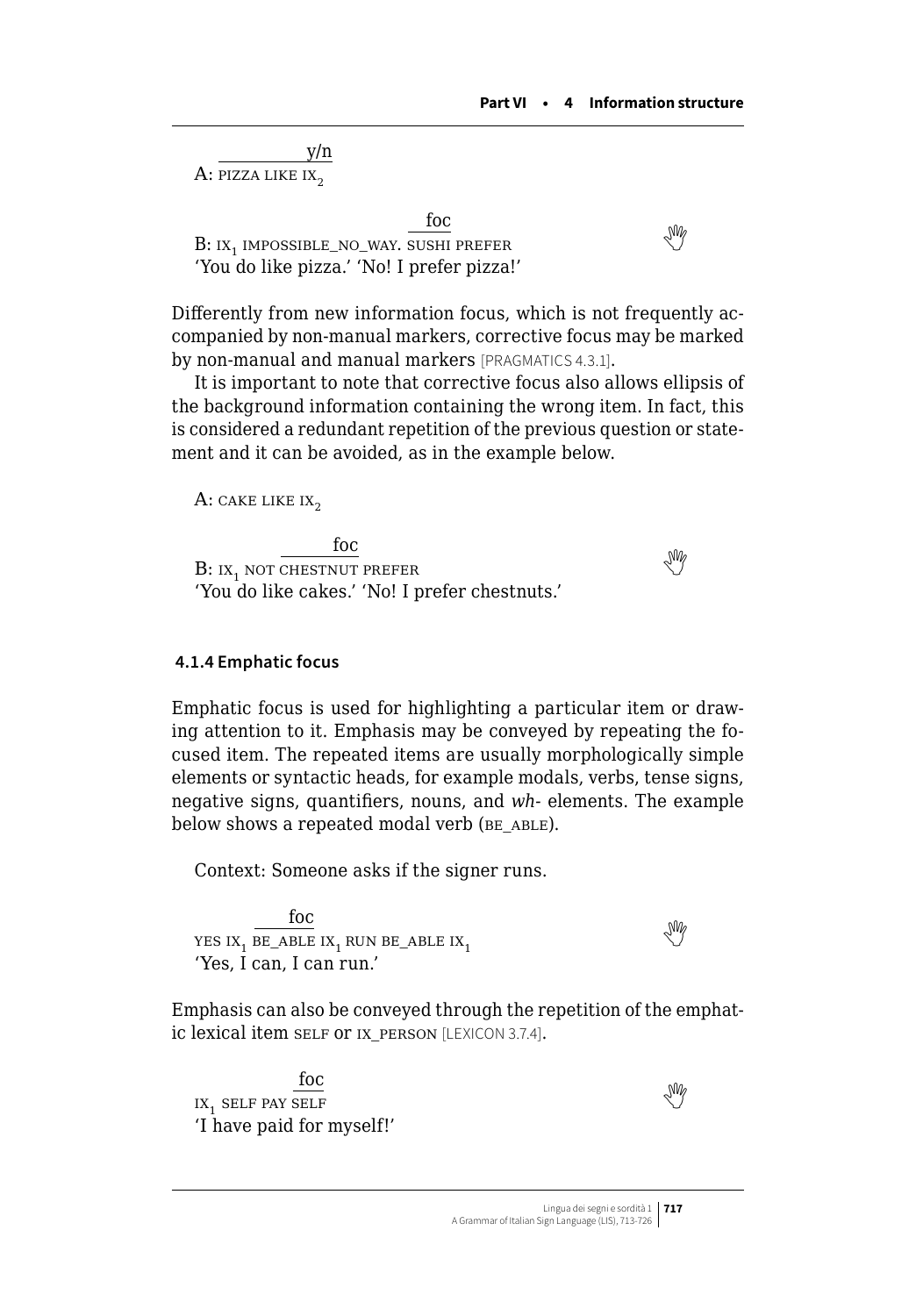y/n  $A$ : pizza like ix<sub>2</sub>

foc  $B: IX, IMPOSSIBLE\ NO\ WAY. SUSHI PREFER$  $B: IX, IMPOSSIBLE\ NO\ WAY. SUSHI PREFER$  $B: IX, IMPOSSIBLE\ NO\ WAY. SUSHI PREFER$ 'You do like pizza.' 'No! I prefer pizza!'

Differently from new information focus, which is not frequently accompanied by non-manual markers, corrective focus may be marked by non-manual and manual markers [PRAGMATICS 4.3.1].

It is important to note that corrective focus also allows ellipsis of the background information containing the wrong item. In fact, this is considered a redundant repetition of the previous question or statement and it can be avoided, as in the example below.

A: cake like  $IX_2$ 

foc  $B:$ ix<sub>1</sub> not chestnut prefer 'You do like cakes.' 'No! I prefer chestnuts.'

 **4.1.4 Emphatic focus**

Emphatic focus is used for highlighting a particular item or drawing attention to it. Emphasis may be conveyed by repeating the focused item. The repeated items are usually morphologically simple elements or syntactic heads, for example modals, verbs, tense signs, negative signs, quantifiers, nouns, and *wh-* elements. The example below shows a repeated modal verb (BE\_ABLE).

Context: Someone asks if the signer runs.

foc YESIX, BE\_ABLE IX, RUN BE\_ABLE IX, 'Yes, I can, I can run.'

Emphasis can also be conveyed through the repetition of the emphatic lexical item self or ix person [LEXICON 3.7.4].

foc  $\frac{100}{100}$ IX, SELF PAY SELF 'I have paid for myself!'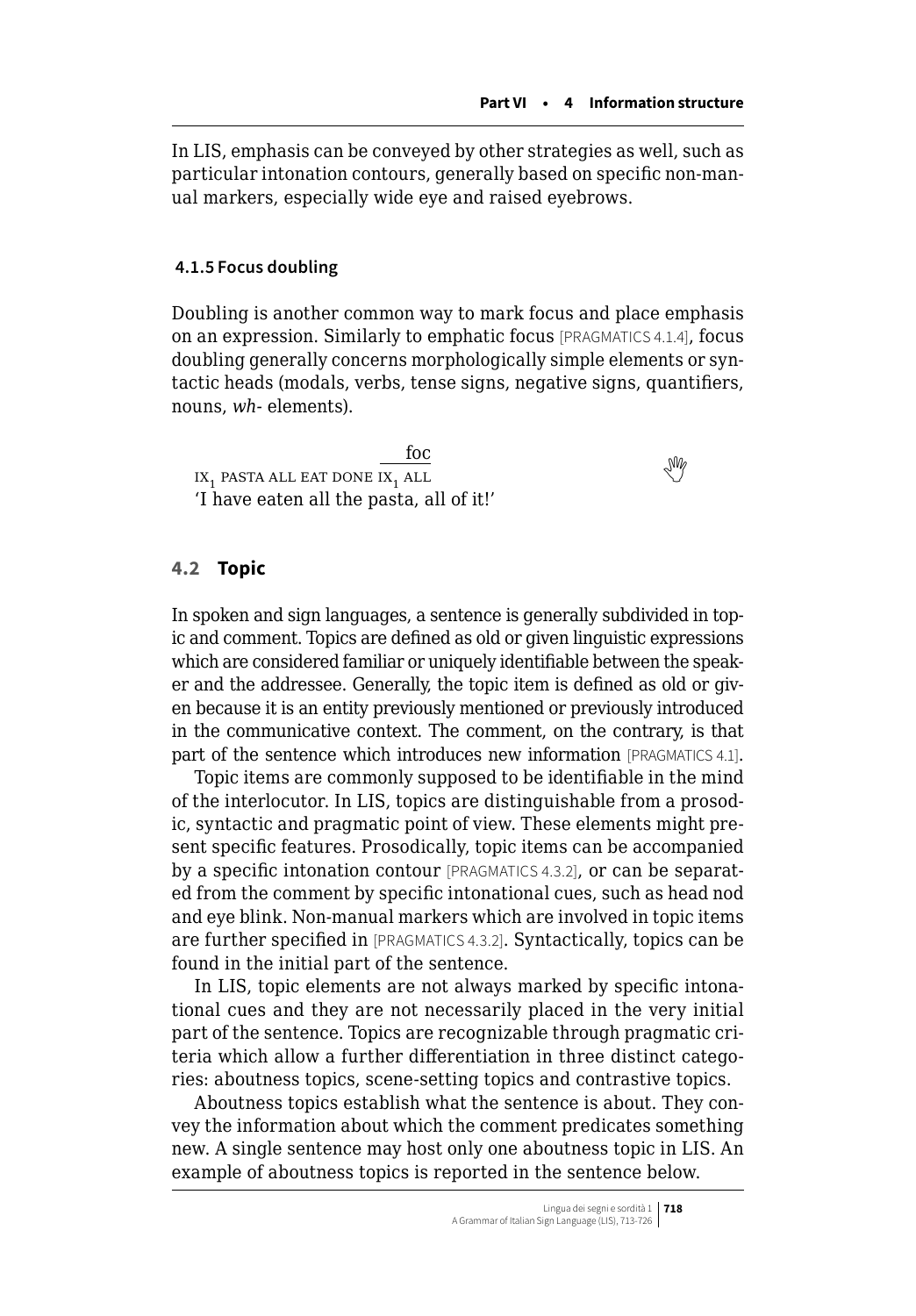<span id="page-5-0"></span>In LIS, emphasis can be conveyed by other strategies as well, such as particular intonation contours, generally based on specific non-manual markers, especially wide eye and raised eyebrows.

#### **4.1.5 Focus doubling**

Doubling is another common way to mark focus and place emphasis on an expression. Similarly to emphatic focus [PRAGMATICS 4.1.4], focus doubling generally concerns morphologically simple elements or syntactic heads (modals, verbs, tense signs, negative signs, quantifiers, nouns, *wh-* elements).

foc  $\overline{\text{IN}}$ <sub>1</sub>pasta all eat done ix<sub>1</sub> all 'I have eaten all the pasta, all of it!'

### **4.2 Topic**

In spoken and sign languages, a sentence is generally subdivided in topic and comment. Topics are defined as old or given linguistic expressions which are considered familiar or uniquely identifiable between the speaker and the addressee. Generally, the topic item is defined as old or given because it is an entity previously mentioned or previously introduced in the communicative context. The comment, on the contrary, is that part of the sentence which introduces new information [PRAGMATICS 4.1].

Topic items are commonly supposed to be identifiable in the mind of the interlocutor. In LIS, topics are distinguishable from a prosodic, syntactic and pragmatic point of view. These elements might present specific features. Prosodically, topic items can be accompanied by a specific intonation contour [PRAGMATICS 4.3.2], or can be separated from the comment by specific intonational cues, such as head nod and eye blink. Non-manual markers which are involved in topic items are further specified in [PRAGMATICS 4.3.2]. Syntactically, topics can be found in the initial part of the sentence.

In LIS, topic elements are not always marked by specific intonational cues and they are not necessarily placed in the very initial part of the sentence. Topics are recognizable through pragmatic criteria which allow a further differentiation in three distinct categories: aboutness topics, scene-setting topics and contrastive topics.

Aboutness topics establish what the sentence is about. They convey the information about which the comment predicates something new. A single sentence may host only one aboutness topic in LIS. An example of aboutness topics is reported in the sentence below.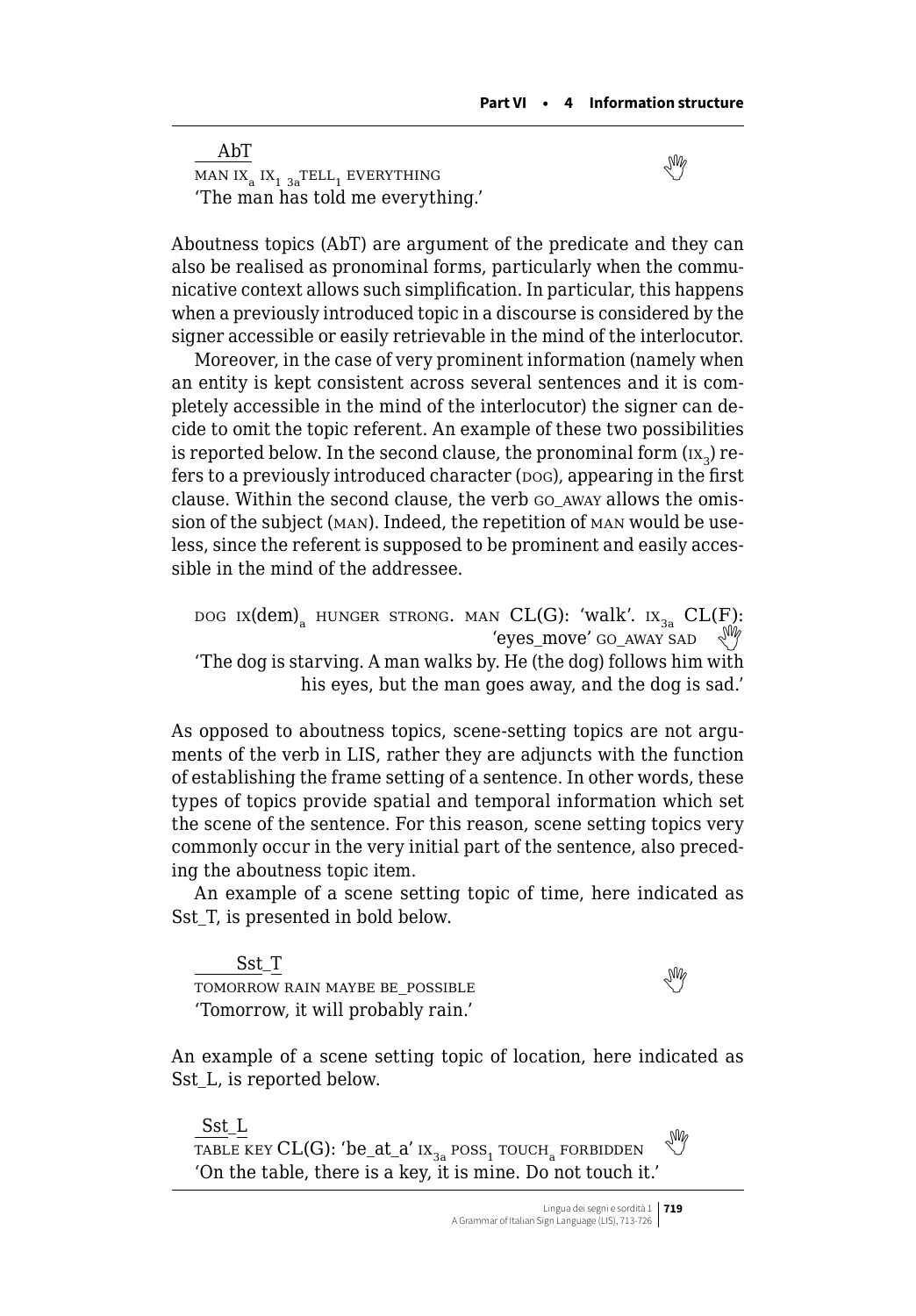AbT  $\frac{H}{MAN IX_1} IX_1 X_3 TELL_1 EVERYTHING$  $\frac{H}{MAN IX_1} IX_1 X_3 TELL_1 EVERYTHING$  $\frac{H}{MAN IX_1} IX_1 X_3 TELL_1 EVERYTHING$ 'The man has told me everything.'

Aboutness topics (AbT) are argument of the predicate and they can also be realised as pronominal forms, particularly when the communicative context allows such simplification. In particular, this happens when a previously introduced topic in a discourse is considered by the signer accessible or easily retrievable in the mind of the interlocutor.

Moreover, in the case of very prominent information (namely when an entity is kept consistent across several sentences and it is completely accessible in the mind of the interlocutor) the signer can decide to omit the topic referent. An example of these two possibilities is reported below. In the second clause, the pronominal form  $(x<sub>2</sub>)$  refers to a previously introduced character (pog), appearing in the first clause. Within the second clause, the verb go\_away allows the omission of the subject (man). Indeed, the repetition of man would be useless, since the referent is supposed to be prominent and easily accessible in the mind of the addressee.

DOG IX(dem)<sub>a</sub> HUNGER STRONG. MAN CL(G): 'walk'. IX<sub>3a</sub> CL(F):<br>
'eves move' GO AWAY SAD 'The dog is starving. A man walks by. He (the dog) follows him with his eyes, but the man goes away, and the dog is sad.'

As opposed to aboutness topics, scene-setting topics are not arguments of the verb in LIS, rather they are adjuncts with the function of establishing the frame setting of a sentence. In other words, these types of topics provide spatial and temporal information which set the scene of the sentence. For this reason, scene setting topics very commonly occur in the very initial part of the sentence, also preceding the aboutness topic item.

An example of a scene setting topic of time, here indicated as Sst T, is presented in bold below.

Sst\_T  $\frac{1}{\text{COMORROW RAIN MAYBE BE POSSIBLE}}$  $\frac{1}{\text{COMORROW RAIN MAYBE BE POSSIBLE}}$  $\frac{1}{\text{COMORROW RAIN MAYBE BE POSSIBLE}}$ 'Tomorrow, it will probably rain.'

An example of a scene setting topic of location, here indicated as Sst\_L, is reported below.

Sst\_L TABLE KEY CL(G): 'be\_at\_a'  $ix_{3a}$  poss<sub>1</sub> touch<sub>a</sub> forbidden 'On the table, there is a key, it is mine. Do not touch it.'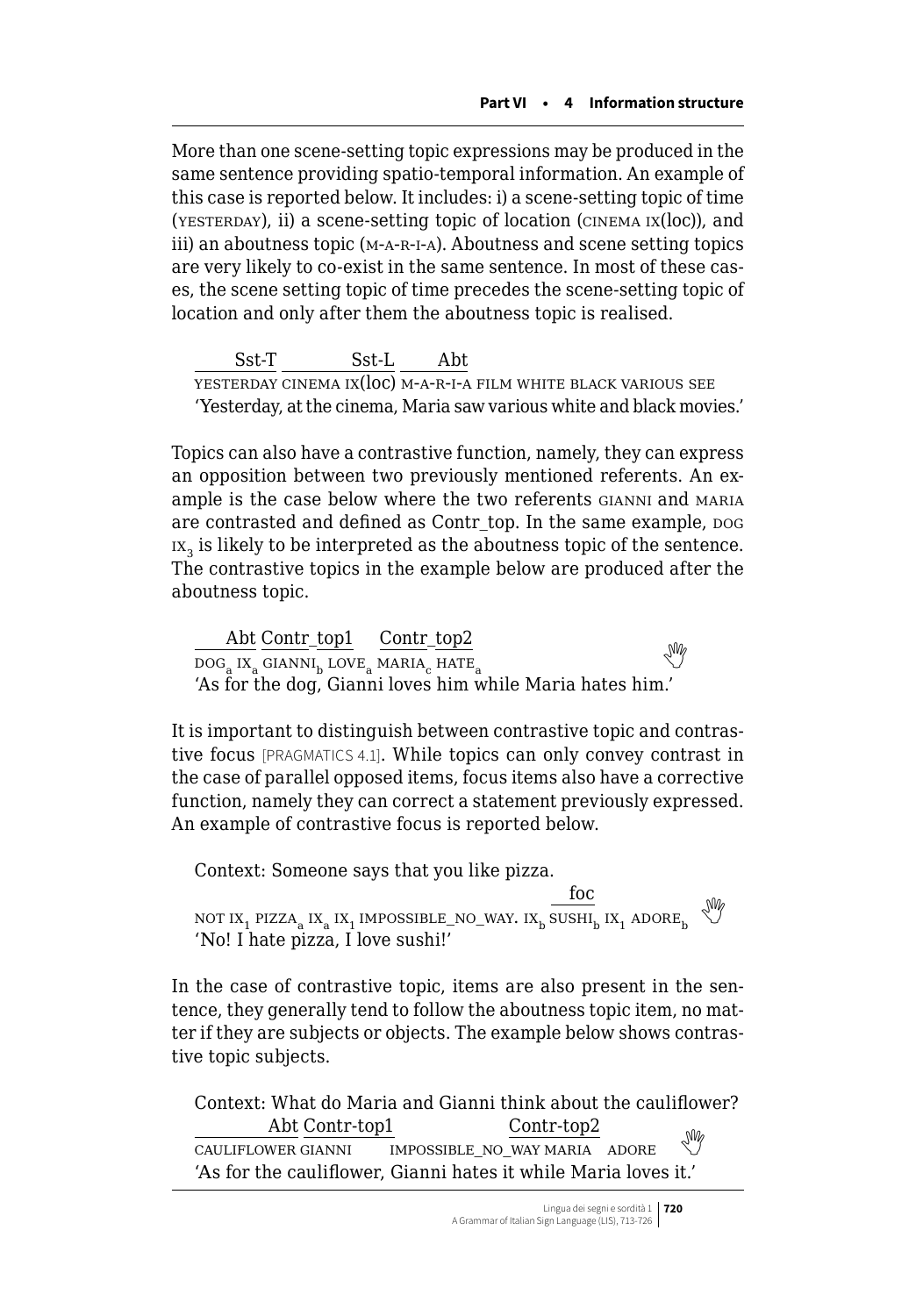More than one scene-setting topic expressions may be produced in the same sentence providing spatio-temporal information. An example of this case is reported below. It includes: i) a scene-setting topic of time (yesterday), ii) a scene-setting topic of location (cinema ix(loc)), and iii) an aboutness topic (m-a-r-i-a). Aboutness and scene setting topics are very likely to co-exist in the same sentence. In most of these cases, the scene setting topic of time precedes the scene-setting topic of location and only after them the aboutness topic is realised.

Sst-T Sst-L Abt  $\overline{\text{YESTERDAY}}$  CINEMA IX $(\overline{\text{loc}})$  M-A-R-I-A FILM WHITE BLACK VARIOUS SEE 'Yesterday, at the cinema, Maria saw various white and black movies.'

Topics can also have a contrastive function, namely, they can express an opposition between two previously mentioned referents. An example is the case below where the two referents GIANNI and MARIA are contrasted and defined as Contr\_top. In the same example, pog  $ix<sub>2</sub>$  is likely to be interpreted as the aboutness topic of the sentence. The contrastive topics in the example below are produced after the aboutness topic.

Abt Contr top1 Contr top2  $\frac{1}{\text{LOG}_8 \text{IX}_8} \frac{\text{COLL1} - \text{LOPL}}{\text{COLL1} + \text{LOVE}_8} \frac{\text{COLL1} - \text{LOPE}}{\text{MARIA}_6} \text{ HATE}$  $\frac{1}{\text{LOG}_8 \text{IX}_8} \frac{\text{COLL1} - \text{LOPL}}{\text{COLL1} + \text{LOVE}_8} \frac{\text{COLL1} - \text{LOPE}}{\text{MARIA}_6} \text{ HATE}$  $\frac{1}{\text{LOG}_8 \text{IX}_8} \frac{\text{COLL1} - \text{LOPL}}{\text{COLL1} + \text{LOVE}_8} \frac{\text{COLL1} - \text{LOPE}}{\text{MARIA}_6} \text{ HATE}$ 'As for the dog, Gianni loves him while Maria hates him.'

It is important to distinguish between contrastive topic and contrastive focus [PRAGMATICS 4.1]. While topics can only convey contrast in the case of parallel opposed items, focus items also have a corrective function, namely they can correct a statement previously expressed. An example of contrastive focus is reported below.

Context: Someone says that you like pizza. foc NOT IX<sub>1</sub> PIZZA<sub>a</sub> IX<sub>1</sub> IMPOSSIBLE\_NO\_WAY. IX<sub>b</sub> SUSHI<sub>b</sub> IX<sub>1</sub> ADORE<sub>b</sub>  $\sqrt[3]{\hspace{1em}^9}$ 'No! I hate pizza, I love sushi!'

In the case of contrastive topic, items are also present in the sentence, they generally tend to follow the aboutness topic item, no matter if they are subjects or objects. The example below shows contrastive topic subjects.

Context: What do Maria and Gianni think about the cauliflower? Abt Contr-top1 Contr-top2 cauliflower gianni impossible\_no\_way maria adore 'As for the cauliflower, Gianni hates it while Maria loves it.'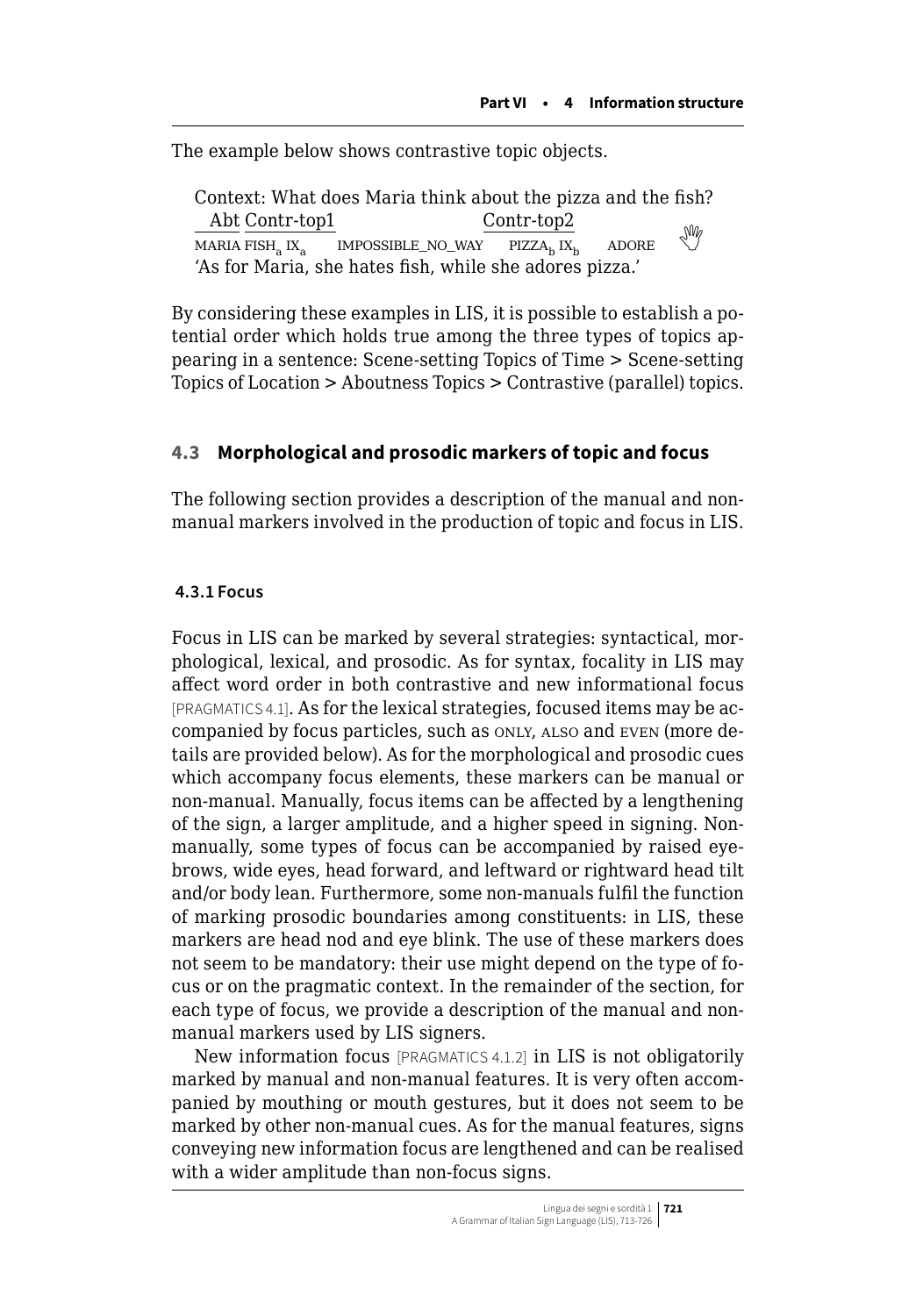<span id="page-8-0"></span>The example below shows contrastive topic objects.

Context: What does Maria think about the pizza and the fish? Abt Contr-top1 Contr-top2 MARIA FISH IX $_{\circ}$  impossible\_no\_way pizza<sub>b</sub> ix<sub>b</sub> adore 'As for Maria, she hates fish, while she adores pizza.'

By considering these examples in LIS, it is possible to establish a potential order which holds true among the three types of topics appearing in a sentence: Scene-setting Topics of Time > Scene-setting Topics of Location > Aboutness Topics > Contrastive (parallel) topics.

## **4.3 Morphological and prosodic markers of topic and focus**

The following section provides a description of the manual and nonmanual markers involved in the production of topic and focus in LIS.

### **4.3.1 Focus**

Focus in LIS can be marked by several strategies: syntactical, morphological, lexical, and prosodic. As for syntax, focality in LIS may affect word order in both contrastive and new informational focus [PRAGMATICS 4.1]. As for the lexical strategies, focused items may be accompanied by focus particles, such as only, also and even (more details are provided below). As for the morphological and prosodic cues which accompany focus elements, these markers can be manual or non-manual. Manually, focus items can be affected by a lengthening of the sign, a larger amplitude, and a higher speed in signing. Nonmanually, some types of focus can be accompanied by raised eyebrows, wide eyes, head forward, and leftward or rightward head tilt and/or body lean. Furthermore, some non-manuals fulfil the function of marking prosodic boundaries among constituents: in LIS, these markers are head nod and eye blink. The use of these markers does not seem to be mandatory: their use might depend on the type of focus or on the pragmatic context. In the remainder of the section, for each type of focus, we provide a description of the manual and nonmanual markers used by LIS signers.

New information focus [PRAGMATICS 4.1.2] in LIS is not obligatorily marked by manual and non-manual features. It is very often accompanied by mouthing or mouth gestures, but it does not seem to be marked by other non-manual cues. As for the manual features, signs conveying new information focus are lengthened and can be realised with a wider amplitude than non-focus signs.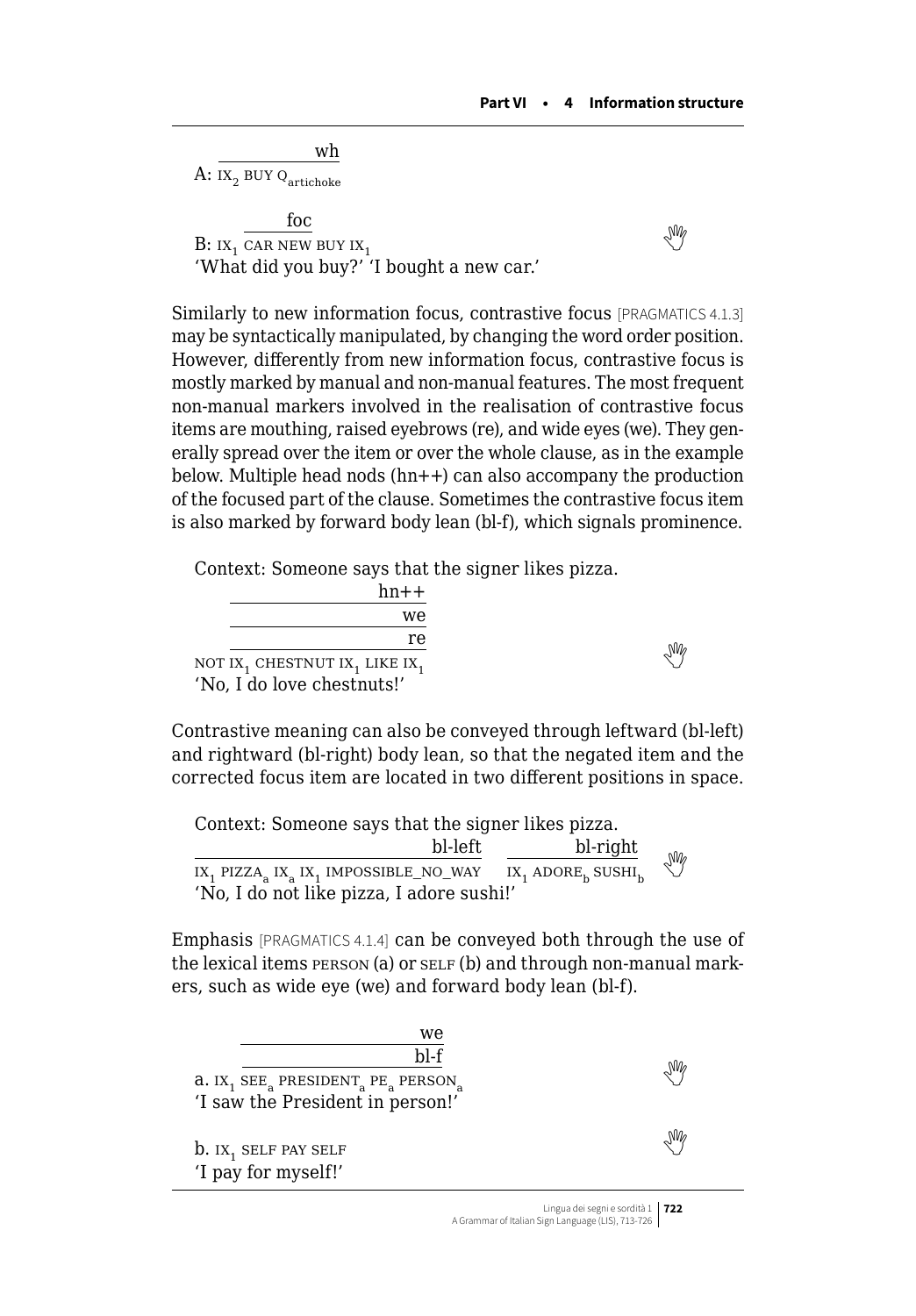wh A: IX<sub>2</sub> BUY Q<sub>artichoke</sub>

foc  $B: I X_1$  $B: I X_1$  $B: I X_1$  car new buy  $I X_1$ 'What did you buy?' 'I bought a new car.'

Similarly to new information focus, contrastive focus [PRAGMATICS 4.1.3] may be syntactically manipulated, by changing the word order position. However, differently from new information focus, contrastive focus is mostly marked by manual and non-manual features. The most frequent non-manual markers involved in the realisation of contrastive focus items are mouthing, raised eyebrows (re), and wide eyes (we). They generally spread over the item or over the whole clause, as in the example below. Multiple head nods (hn++) can also accompany the production of the focused part of the clause. Sometimes the contrastive focus item is also marked by forward body lean (bl-f), which signals prominence.

Context: Someone says that the signer likes pizza.

| $hn++$                                                            |  |
|-------------------------------------------------------------------|--|
| we                                                                |  |
| re                                                                |  |
| NOT IX <sub>1</sub> CHESTNUT IX <sub>1</sub> LIKE IX <sub>1</sub> |  |
| 'No, I do love chestnuts!'                                        |  |

Contrastive meaning can also be conveyed through leftward (bl-left) and rightward (bl-right) body lean, so that the negated item and the corrected focus item are located in two different positions in space.

Context: Someone says that the signer likes pizza.

 $\underline{bl\text{-}left}$   $\underline{bl\text{-}right}$ <br>  $\underline{ix_1 \text{ ADORE}_h}$   $\underline{SUSHI_h}$  $IX_1$  PIZZA<sub>a</sub>  $IX_2$   $IX_1$  IMPOSSIBLE\_NO\_WAY 'No, I do not like pizza, I adore sushi!'

Emphasis [PRAGMATICS 4.1.4] can be conveyed both through the use of the lexical items **person** (a) or self (b) and through non-manual markers, such as wide eye (we) and forward body lean (bl-f).

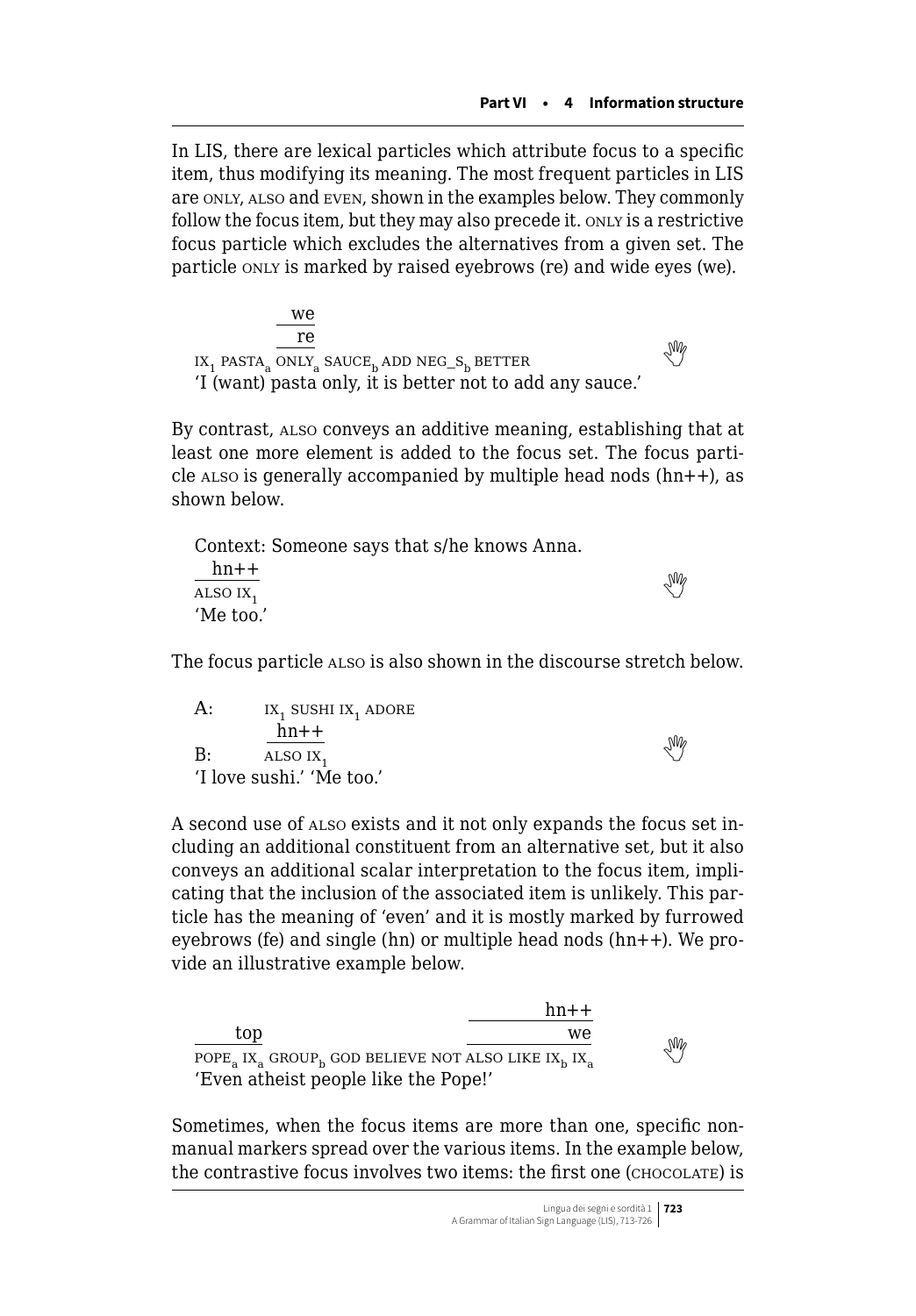In LIS, there are lexical particles which attribute focus to a specific item, thus modifying its meaning. The most frequent particles in LIS are only, also and even, shown in the examples below. They commonly follow the focus item, but they may also precede it. ONLY is a restrictive focus particle which excludes the alternatives from a given set. The particle only is marked by raised eyebrows (re) and wide eyes (we).

we re  $\frac{16}{1}$ pasta<sub>a</sub> ONLY<sub>a</sub> SAUCE<sub>b</sub> ADD NEG\_S<sub>b</sub> BETTER 'I (want) pasta only, it is better not to add any sauce.'

By contrast, also conveys an additive meaning, establishing that at least one more element is added to the focus set. The focus particle also is generally accompanied by multiple head nods  $(hn++),$  as shown below.

|                      | Context: Someone says that s/he knows Anna. |  |
|----------------------|---------------------------------------------|--|
| $hn++$               |                                             |  |
| ALSO IX <sub>1</sub> | ₩                                           |  |
| 'Me too.'            |                                             |  |

The focus particle also is also shown in the discourse stretch below.

| A: | IX, SUSHI IX, ADORE       |   |
|----|---------------------------|---|
|    | $hn++$                    |   |
| B: | ALSO IX,                  | ₩ |
|    | 'I love sushi.' 'Me too.' |   |

A second use of also exists and it not only expands the focus set including an additional constituent from an alternative set, but it also conveys an additional scalar interpretation to the focus item, implicating that the inclusion of the associated item is unlikely. This particle has the meaning of 'even' and it is mostly marked by furrowed eyebrows (fe) and single (hn) or multiple head nods (hn++). We provide an illustrative example below.

|                                                 | $hn++$ |    |
|-------------------------------------------------|--------|----|
| top                                             | we.    |    |
| POPE IX GROUP, GOD BELIEVE NOT ALSO LIKE IX, IX |        | Ng |
| 'Even atheist people like the Pope!'            |        |    |

Sometimes, when the focus items are more than one, specific nonmanual markers spread over the various items. In the example below, the contrastive focus involves two items: the first one (chocolate) is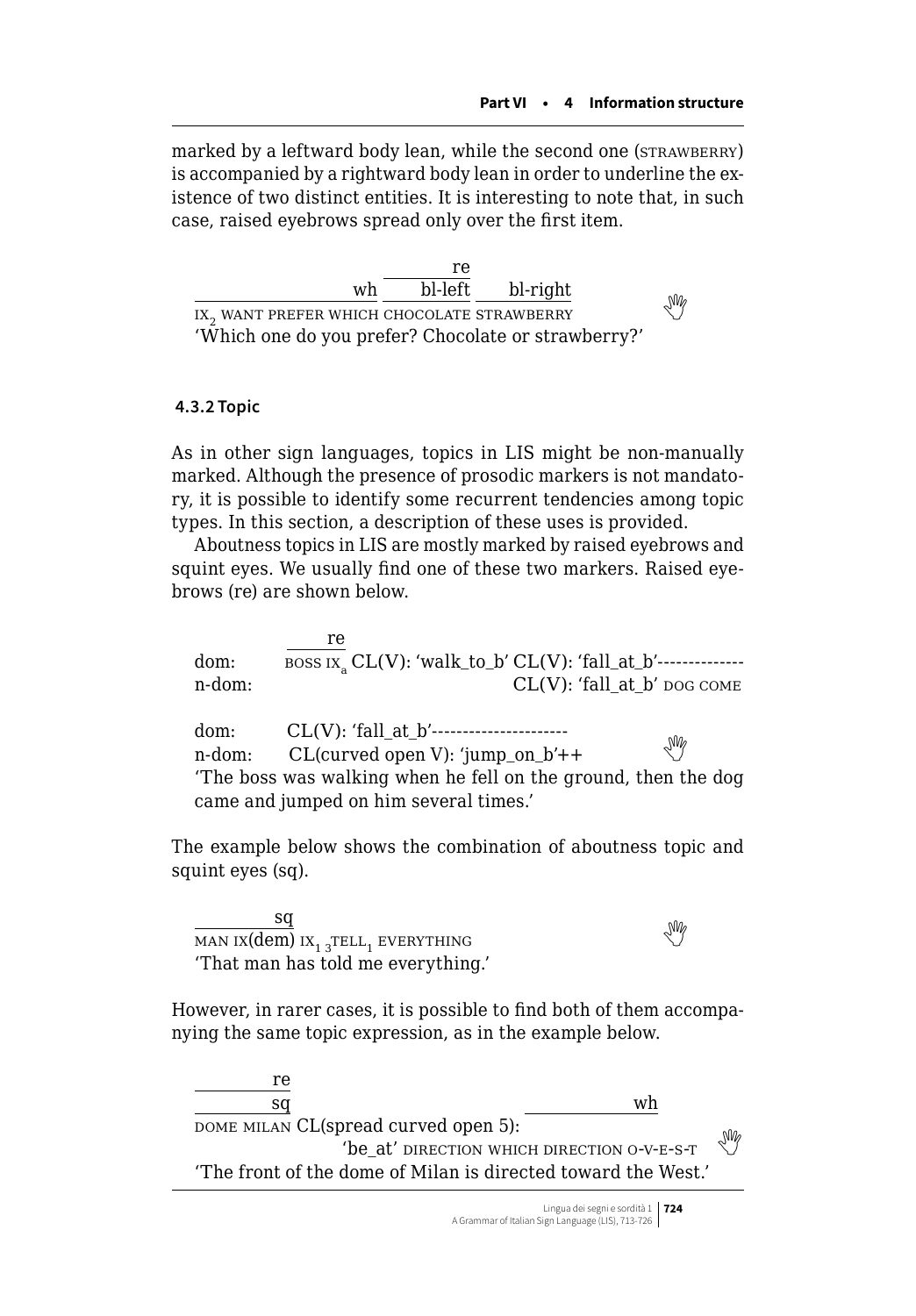marked by a leftward body lean, while the second one (STRAWBERRY) is accompanied by a rightward body lean in order to underline the existence of two distinct entities. It is interesting to note that, in such case, raised eyebrows spread only over the first item.

|                                                        | re |                  |    |
|--------------------------------------------------------|----|------------------|----|
| wh                                                     |    | bl-left bl-right |    |
| IX <sub>2</sub> WANT PREFER WHICH CHOCOLATE STRAWBERRY |    |                  | Ng |
| 'Which one do you prefer? Chocolate or strawberry?'    |    |                  |    |

#### **4.3.2 Topic**

As in other sign languages, topics in LIS might be non-manually marked. Although the presence of prosodic markers is not mandatory, it is possible to identify some recurrent tendencies among topic types. In this section, a description of these uses is provided.

Aboutness topics in LIS are mostly marked by raised eyebrows and squint eyes. We usually find one of these two markers. Raised eyebrows (re) are shown below.

re dom: boss ix<sup>a</sup> CL(V): 'walk\_to\_b' CL(V): 'fall\_at\_b'------------- n-dom:  $CL(V)$ : 'fall at b' dog come dom: CL(V): 'fall\_at\_b'--------------------- n-dom: CL(curved open V): 'jump\_on\_b'++  'The boss was walking when he fell on the ground, then the dog came and jumped on him several times.'

The example below shows the combination of aboutness topic and squint eyes (sq).

sq  $\frac{dq}{MAN IX(dem)}$  $\frac{dq}{MAN IX(dem)}$  $\frac{dq}{MAN IX(dem)}$  ix<sub>1 3</sub>tell<sub>1</sub> everything 'That man has told me everything.'

re de la procession de la procession de la procession de la procession de la procession de la procession de la procession de la procession de la procession de la procession de la procession de la procession de la processio

However, in rarer cases, it is possible to find both of them accompanying the same topic expression, as in the example below.

| $\overline{\phantom{0}}$<br>wh<br>sa                          |    |
|---------------------------------------------------------------|----|
| DOME MILAN CL(spread curved open 5):                          |    |
| 'be at' direction which direction o-v-E-S-T                   | УM |
| 'The front of the dome of Milan is directed toward the West.' |    |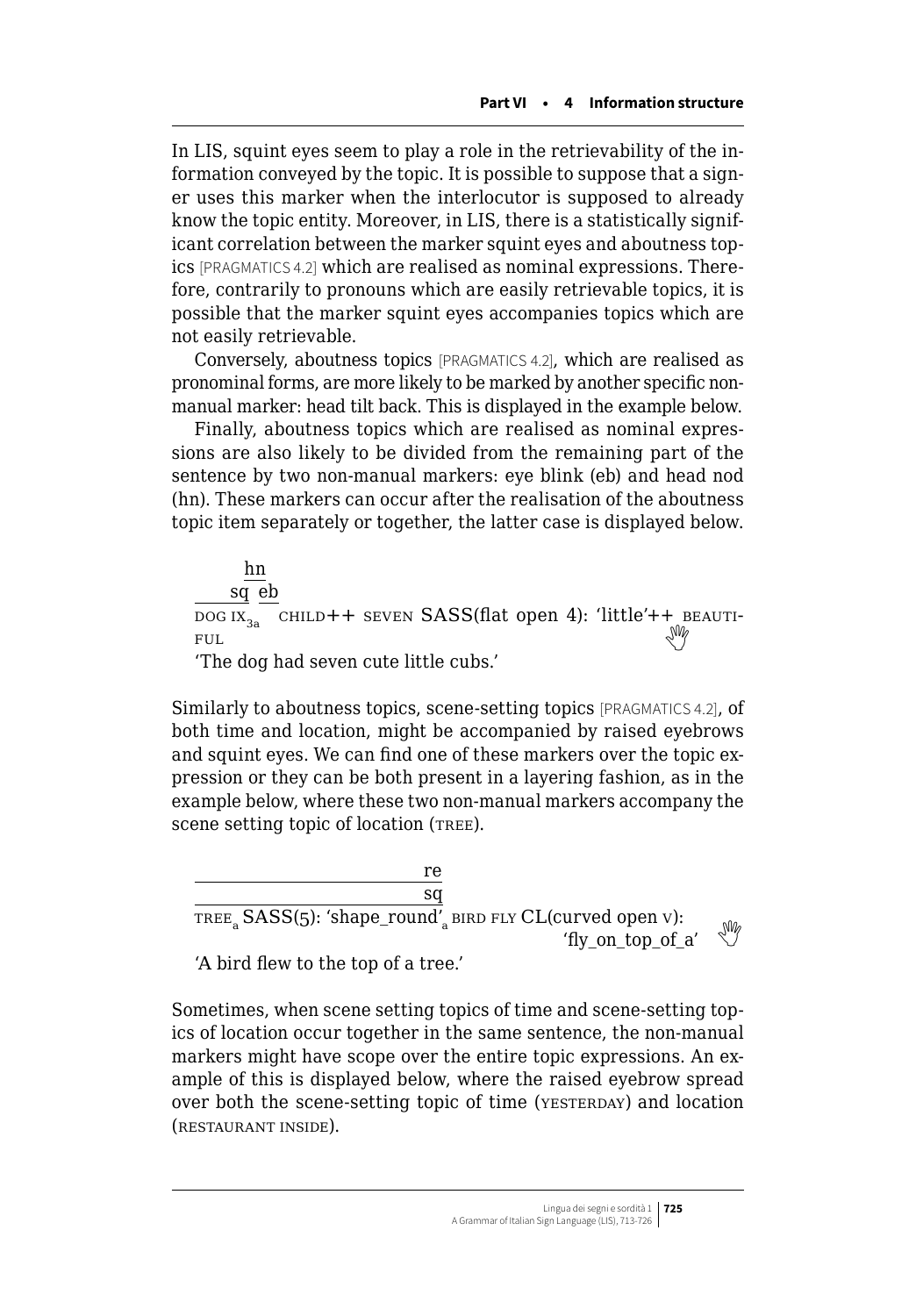In LIS, squint eyes seem to play a role in the retrievability of the information conveyed by the topic. It is possible to suppose that a signer uses this marker when the interlocutor is supposed to already know the topic entity. Moreover, in LIS, there is a statistically significant correlation between the marker squint eyes and aboutness topics [PRAGMATICS 4.2] which are realised as nominal expressions. Therefore, contrarily to pronouns which are easily retrievable topics, it is possible that the marker squint eyes accompanies topics which are not easily retrievable.

Conversely, aboutness topics [PRAGMATICS 4.2], which are realised as pronominal forms, are more likely to be marked by another specific nonmanual marker: head tilt back. This is displayed in the example below.

Finally, aboutness topics which are realised as nominal expressions are also likely to be divided from the remaining part of the sentence by two non-manual markers: eye blink (eb) and head nod (hn). These markers can occur after the realisation of the aboutness topic item separately or together, the latter case is displayed below.

hn sq eb DOG IX<sub>3a</sub> CHILD++ SEVEN SASS(flat open 4): 'little'++ BEAUTI- $\mathbb{F}$ <sup>ult</sup> 'The dog had seven cute little cubs.'

Similarly to aboutness topics, scene-setting topics [PRAGMATICS 4.2], of both time and location, might be accompanied by raised eyebrows and squint eyes. We can find one of these markers over the topic expression or they can be both present in a layering fashion, as in the example below, where these two non-manual markers accompany the scene setting topic of location (TREE).

re sq TREE<sub>s</sub> SASS(5): 'shape\_round'<sub>a</sub> BIRD FLY CL(curved open v):  $'$ fly\_on\_top\_of\_a'  $\sqrt[3]{}$ 

'A bird flew to the top of a tree.'

Sometimes, when scene setting topics of time and scene-setting topics of location occur together in the same sentence, the non-manual markers might have scope over the entire topic expressions. An example of this is displayed below, where the raised eyebrow spread over both the scene-setting topic of time (YESTERDAY) and location (restaurant inside).